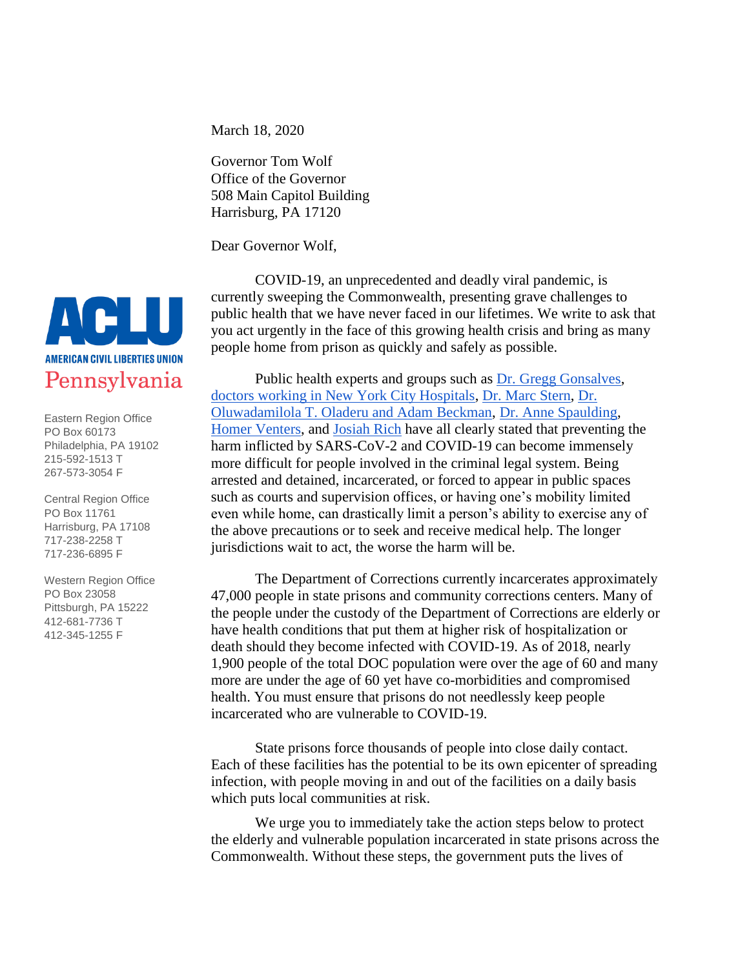March 18, 2020

Governor Tom Wolf Office of the Governor 508 Main Capitol Building Harrisburg, PA 17120

Dear Governor Wolf,

COVID-19, an unprecedented and deadly viral pandemic, is currently sweeping the Commonwealth, presenting grave challenges to public health that we have never faced in our lifetimes. We write to ask that you act urgently in the face of this growing health crisis and bring as many people home from prison as quickly and safely as possible.

Public health experts and groups such as [Dr. Gregg Gonsalves,](https://ctmirror.org/2020/03/11/elderly-prison-population-vulnerable-to-potential-coronavirus-outbreak/) [doctors working in New York City Hospitals,](https://ctmirror.org/2020/03/11/elderly-prison-population-vulnerable-to-potential-coronavirus-outbreak/) [Dr. Marc Stern,](https://www.themarshallproject.org/documents/6796536-Suggestions-for-Jails-3-5-20) [Dr.](https://www.healthaffairs.org/do/10.1377/hblog20200310.290180/full/)  [Oluwadamilola T. Oladeru and Adam Beckman,](https://www.healthaffairs.org/do/10.1377/hblog20200310.290180/full/) [Dr. Anne Spaulding,](https://www.ncchc.org/filebin/news/COVID_for_CF._HCW_3.9.20.pdf) [Homer Venters,](https://www.motherjones.com/crime-justice/2020/03/coronavirus-jails-bail-reform-arrests/) and [Josiah Rich](https://www.theguardian.com/us-news/2020/mar/13/coronavirus-us-prisons-jails) have all clearly stated that preventing the harm inflicted by SARS-CoV-2 and COVID-19 can become immensely more difficult for people involved in the criminal legal system. Being arrested and detained, incarcerated, or forced to appear in public spaces such as courts and supervision offices, or having one's mobility limited even while home, can drastically limit a person's ability to exercise any of the above precautions or to seek and receive medical help. The longer jurisdictions wait to act, the worse the harm will be.

The Department of Corrections currently incarcerates approximately 47,000 people in state prisons and community corrections centers. Many of the people under the custody of the Department of Corrections are elderly or have health conditions that put them at higher risk of hospitalization or death should they become infected with COVID-19. As of 2018, nearly 1,900 people of the total DOC population were over the age of 60 and many more are under the age of 60 yet have co-morbidities and compromised health. You must ensure that prisons do not needlessly keep people incarcerated who are vulnerable to COVID-19.

State prisons force thousands of people into close daily contact. Each of these facilities has the potential to be its own epicenter of spreading infection, with people moving in and out of the facilities on a daily basis which puts local communities at risk.

We urge you to immediately take the action steps below to protect the elderly and vulnerable population incarcerated in state prisons across the Commonwealth. Without these steps, the government puts the lives of



Eastern Region Office PO Box 60173 Philadelphia, PA 19102 215-592-1513 T 267-573-3054 F

Central Region Office PO Box 11761 Harrisburg, PA 17108 717-238-2258 T 717-236-6895 F

Western Region Office PO Box 23058 Pittsburgh, PA 15222 412-681-7736 T 412-345-1255 F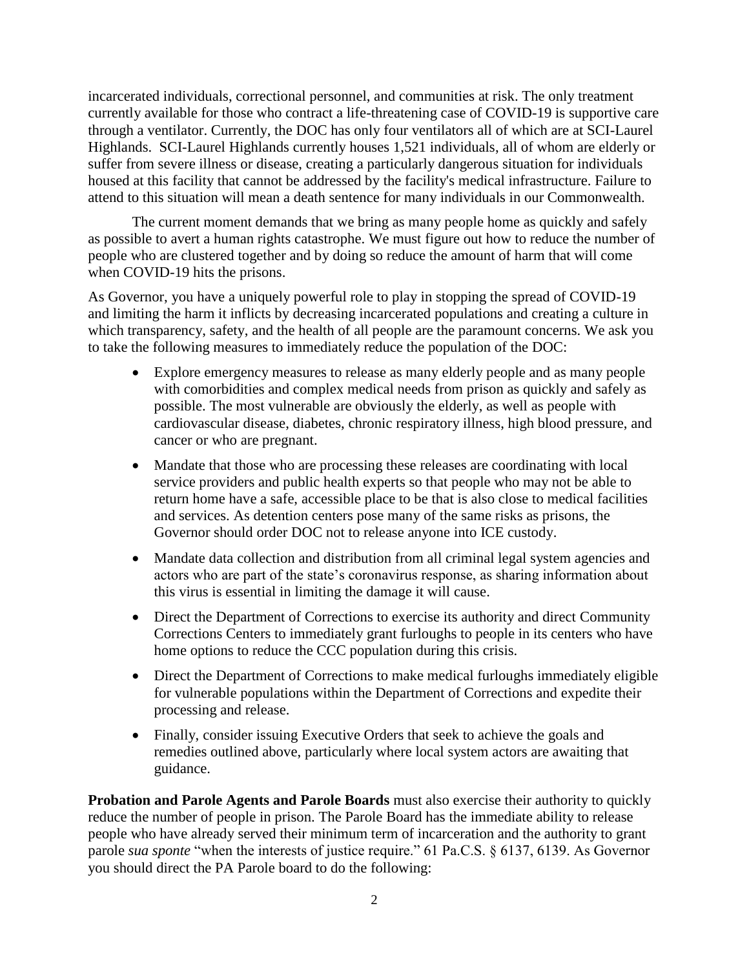incarcerated individuals, correctional personnel, and communities at risk. The only treatment currently available for those who contract a life-threatening case of COVID-19 is supportive care through a ventilator. Currently, the DOC has only four ventilators all of which are at SCI-Laurel Highlands. SCI-Laurel Highlands currently houses 1,521 individuals, all of whom are elderly or suffer from severe illness or disease, creating a particularly dangerous situation for individuals housed at this facility that cannot be addressed by the facility's medical infrastructure. Failure to attend to this situation will mean a death sentence for many individuals in our Commonwealth.

The current moment demands that we bring as many people home as quickly and safely as possible to avert a human rights catastrophe. We must figure out how to reduce the number of people who are clustered together and by doing so reduce the amount of harm that will come when COVID-19 hits the prisons.

As Governor, you have a uniquely powerful role to play in stopping the spread of COVID-19 and limiting the harm it inflicts by decreasing incarcerated populations and creating a culture in which transparency, safety, and the health of all people are the paramount concerns. We ask you to take the following measures to immediately reduce the population of the DOC:

- Explore emergency measures to release as many elderly people and as many people with comorbidities and complex medical needs from prison as quickly and safely as possible. The most vulnerable are obviously the elderly, as well as people with cardiovascular disease, diabetes, chronic respiratory illness, high blood pressure, and cancer or who are pregnant.
- Mandate that those who are processing these releases are coordinating with local service providers and public health experts so that people who may not be able to return home have a safe, accessible place to be that is also close to medical facilities and services. As detention centers pose many of the same risks as prisons, the Governor should order DOC not to release anyone into ICE custody.
- Mandate data collection and distribution from all criminal legal system agencies and actors who are part of the state's coronavirus response, as sharing information about this virus is essential in limiting the damage it will cause.
- Direct the Department of Corrections to exercise its authority and direct Community Corrections Centers to immediately grant furloughs to people in its centers who have home options to reduce the CCC population during this crisis.
- Direct the Department of Corrections to make medical furloughs immediately eligible for vulnerable populations within the Department of Corrections and expedite their processing and release.
- Finally, consider issuing Executive Orders that seek to achieve the goals and remedies outlined above, particularly where local system actors are awaiting that guidance.

**Probation and Parole Agents and Parole Boards** must also exercise their authority to quickly reduce the number of people in prison. The Parole Board has the immediate ability to release people who have already served their minimum term of incarceration and the authority to grant parole *sua sponte* "when the interests of justice require." 61 Pa.C.S. § 6137, 6139. As Governor you should direct the PA Parole board to do the following: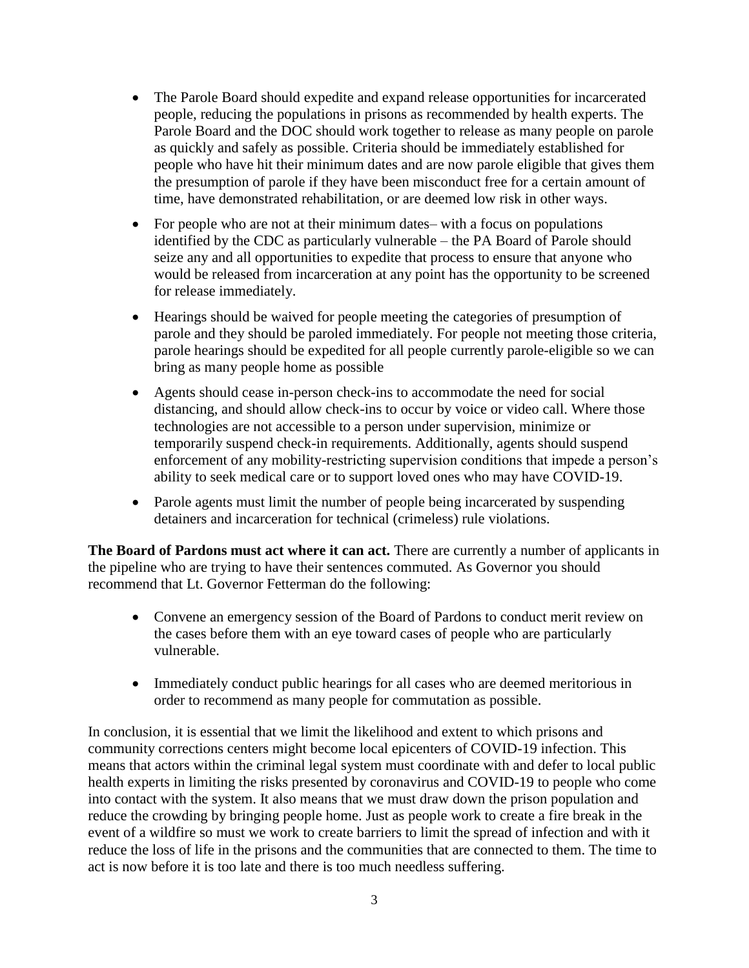- The Parole Board should expedite and expand release opportunities for incarcerated people, reducing the populations in prisons as recommended by health experts. The Parole Board and the DOC should work together to release as many people on parole as quickly and safely as possible. Criteria should be immediately established for people who have hit their minimum dates and are now parole eligible that gives them the presumption of parole if they have been misconduct free for a certain amount of time, have demonstrated rehabilitation, or are deemed low risk in other ways.
- For people who are not at their minimum dates– with a focus on populations identified by the CDC as particularly vulnerable – the PA Board of Parole should seize any and all opportunities to expedite that process to ensure that anyone who would be released from incarceration at any point has the opportunity to be screened for release immediately.
- Hearings should be waived for people meeting the categories of presumption of parole and they should be paroled immediately. For people not meeting those criteria, parole hearings should be expedited for all people currently parole-eligible so we can bring as many people home as possible
- Agents should cease in-person check-ins to accommodate the need for social distancing, and should allow check-ins to occur by voice or video call. Where those technologies are not accessible to a person under supervision, minimize or temporarily suspend check-in requirements. Additionally, agents should suspend enforcement of any mobility-restricting supervision conditions that impede a person's ability to seek medical care or to support loved ones who may have COVID-19.
- Parole agents must limit the number of people being incarcerated by suspending detainers and incarceration for technical (crimeless) rule violations.

**The Board of Pardons must act where it can act.** There are currently a number of applicants in the pipeline who are trying to have their sentences commuted. As Governor you should recommend that Lt. Governor Fetterman do the following:

- Convene an emergency session of the Board of Pardons to conduct merit review on the cases before them with an eye toward cases of people who are particularly vulnerable.
- Immediately conduct public hearings for all cases who are deemed meritorious in order to recommend as many people for commutation as possible.

In conclusion, it is essential that we limit the likelihood and extent to which prisons and community corrections centers might become local epicenters of COVID-19 infection. This means that actors within the criminal legal system must coordinate with and defer to local public health experts in limiting the risks presented by coronavirus and COVID-19 to people who come into contact with the system. It also means that we must draw down the prison population and reduce the crowding by bringing people home. Just as people work to create a fire break in the event of a wildfire so must we work to create barriers to limit the spread of infection and with it reduce the loss of life in the prisons and the communities that are connected to them. The time to act is now before it is too late and there is too much needless suffering.